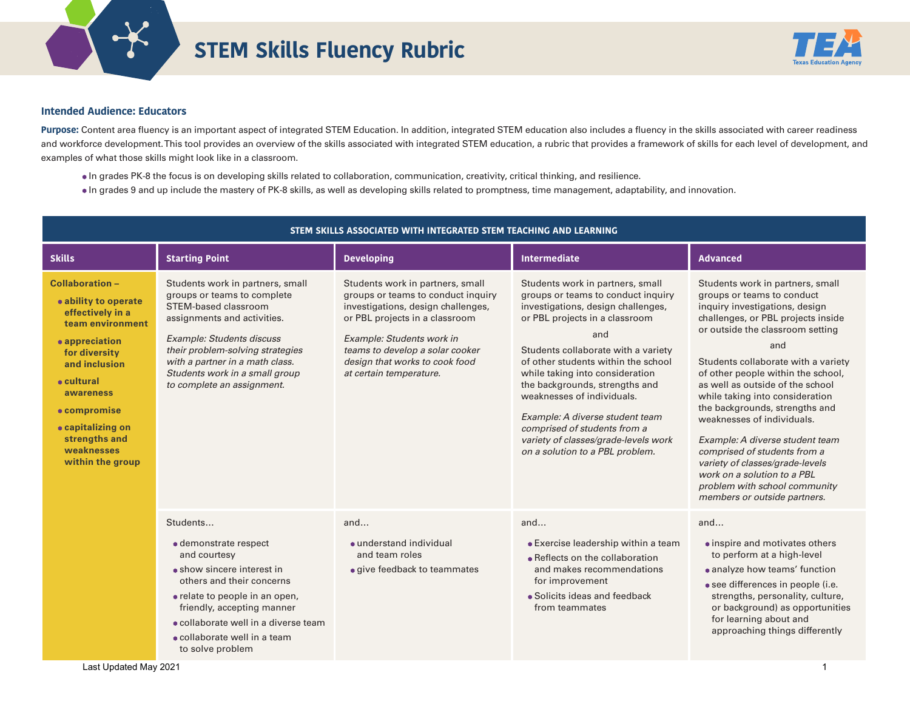

## **STEM Skills Fluency Rubric**



## **Intended Audience: Educators**

Purpose: Content area fluency is an important aspect of integrated STEM Education. In addition, integrated STEM education also includes a fluency in the skills associated with career readiness and workforce development. This tool provides an overview of the skills associated with integrated STEM education, a rubric that provides a framework of skills for each level of development, and examples of what those skills might look like in a classroom.

- In grades PK-8 the focus is on developing skills related to collaboration, communication, creativity, critical thinking, and resilience.
- In grades 9 and up include the mastery of PK-8 skills, as well as developing skills related to promptness, time management, adaptability, and innovation.

| STEM SKILLS ASSOCIATED WITH INTEGRATED STEM TEACHING AND LEARNING                                                                                                                                                                                             |                                                                                                                                                                                                                                                                                                   |                                                                                                                                                                                                                                                                             |                                                                                                                                                                                                                                                                                                                                                                                                                                                                                      |                                                                                                                                                                                                                                                                                                                                                                                                                                                                                                                                                                                                             |  |
|---------------------------------------------------------------------------------------------------------------------------------------------------------------------------------------------------------------------------------------------------------------|---------------------------------------------------------------------------------------------------------------------------------------------------------------------------------------------------------------------------------------------------------------------------------------------------|-----------------------------------------------------------------------------------------------------------------------------------------------------------------------------------------------------------------------------------------------------------------------------|--------------------------------------------------------------------------------------------------------------------------------------------------------------------------------------------------------------------------------------------------------------------------------------------------------------------------------------------------------------------------------------------------------------------------------------------------------------------------------------|-------------------------------------------------------------------------------------------------------------------------------------------------------------------------------------------------------------------------------------------------------------------------------------------------------------------------------------------------------------------------------------------------------------------------------------------------------------------------------------------------------------------------------------------------------------------------------------------------------------|--|
| <b>Skills</b>                                                                                                                                                                                                                                                 | <b>Starting Point</b>                                                                                                                                                                                                                                                                             | <b>Developing</b>                                                                                                                                                                                                                                                           | <b>Intermediate</b>                                                                                                                                                                                                                                                                                                                                                                                                                                                                  | <b>Advanced</b>                                                                                                                                                                                                                                                                                                                                                                                                                                                                                                                                                                                             |  |
| Collaboration-<br>• ability to operate<br>effectively in a<br>team environment<br>• appreciation<br>for diversity<br>and inclusion<br>$\bullet$ cultural<br>awareness<br>• compromise<br>• capitalizing on<br>strengths and<br>weaknesses<br>within the group | Students work in partners, small<br>groups or teams to complete<br>STEM-based classroom<br>assignments and activities.<br><b>Example: Students discuss</b><br>their problem-solving strategies<br>with a partner in a math class.<br>Students work in a small group<br>to complete an assignment. | Students work in partners, small<br>groups or teams to conduct inquiry<br>investigations, design challenges,<br>or PBL projects in a classroom<br>Example: Students work in<br>teams to develop a solar cooker<br>design that works to cook food<br>at certain temperature. | Students work in partners, small<br>groups or teams to conduct inquiry<br>investigations, design challenges,<br>or PBL projects in a classroom<br>and<br>Students collaborate with a variety<br>of other students within the school<br>while taking into consideration<br>the backgrounds, strengths and<br>weaknesses of individuals.<br>Example: A diverse student team<br>comprised of students from a<br>variety of classes/grade-levels work<br>on a solution to a PBL problem. | Students work in partners, small<br>groups or teams to conduct<br>inquiry investigations, design<br>challenges, or PBL projects inside<br>or outside the classroom setting<br>and<br>Students collaborate with a variety<br>of other people within the school,<br>as well as outside of the school<br>while taking into consideration<br>the backgrounds, strengths and<br>weaknesses of individuals.<br>Example: A diverse student team<br>comprised of students from a<br>variety of classes/grade-levels<br>work on a solution to a PBL<br>problem with school community<br>members or outside partners. |  |
|                                                                                                                                                                                                                                                               | Students<br>· demonstrate respect<br>and courtesy<br>• show sincere interest in<br>others and their concerns<br>• relate to people in an open,<br>friendly, accepting manner<br>• collaborate well in a diverse team<br>• collaborate well in a team<br>to solve problem                          | and<br>• understand individual<br>and team roles<br>• give feedback to teammates                                                                                                                                                                                            | and<br>• Exercise leadership within a team<br>• Reflects on the collaboration<br>and makes recommendations<br>for improvement<br>• Solicits ideas and feedback<br>from teammates                                                                                                                                                                                                                                                                                                     | and<br>• inspire and motivates others<br>to perform at a high-level<br>• analyze how teams' function<br>· see differences in people (i.e.<br>strengths, personality, culture,<br>or background) as opportunities<br>for learning about and<br>approaching things differently                                                                                                                                                                                                                                                                                                                                |  |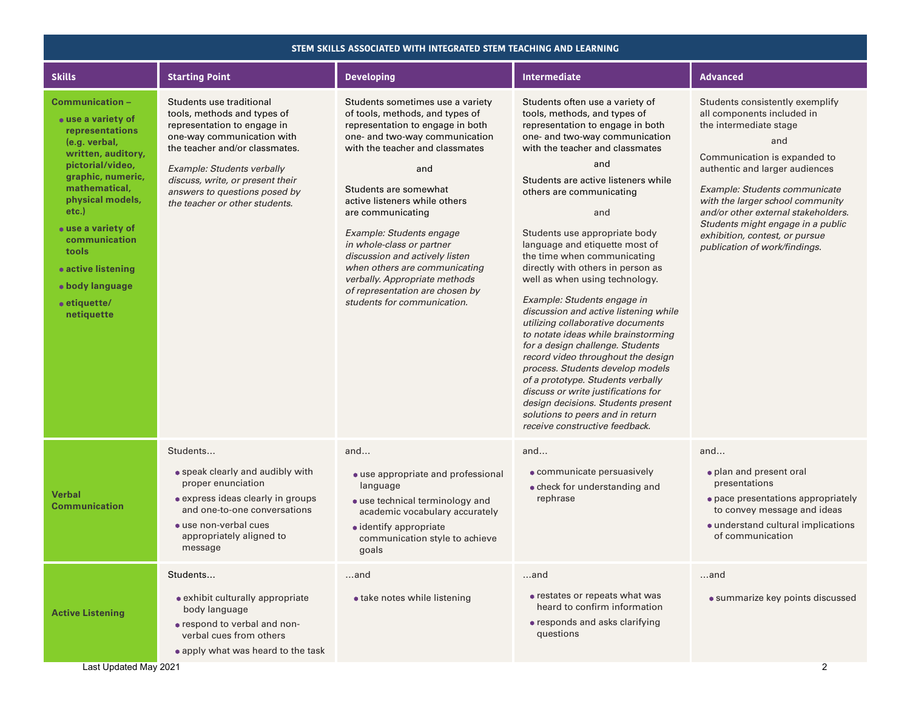| STEM SKILLS ASSOCIATED WITH INTEGRATED STEM TEACHING AND LEARNING                                                                                                                                                                                                                                                |                                                                                                                                                                                                                                                                                             |                                                                                                                                                                                                                                                                                                                                                                                                                                                                                                   |                                                                                                                                                                                                                                                                                                                                                                                                                                                                                                                                                                                                                                                                                                                                                                                                                                                                                              |                                                                                                                                                                                                                                                                                                                                                                                      |  |
|------------------------------------------------------------------------------------------------------------------------------------------------------------------------------------------------------------------------------------------------------------------------------------------------------------------|---------------------------------------------------------------------------------------------------------------------------------------------------------------------------------------------------------------------------------------------------------------------------------------------|---------------------------------------------------------------------------------------------------------------------------------------------------------------------------------------------------------------------------------------------------------------------------------------------------------------------------------------------------------------------------------------------------------------------------------------------------------------------------------------------------|----------------------------------------------------------------------------------------------------------------------------------------------------------------------------------------------------------------------------------------------------------------------------------------------------------------------------------------------------------------------------------------------------------------------------------------------------------------------------------------------------------------------------------------------------------------------------------------------------------------------------------------------------------------------------------------------------------------------------------------------------------------------------------------------------------------------------------------------------------------------------------------------|--------------------------------------------------------------------------------------------------------------------------------------------------------------------------------------------------------------------------------------------------------------------------------------------------------------------------------------------------------------------------------------|--|
| <b>Skills</b>                                                                                                                                                                                                                                                                                                    | <b>Starting Point</b>                                                                                                                                                                                                                                                                       | <b>Developing</b>                                                                                                                                                                                                                                                                                                                                                                                                                                                                                 | Intermediate                                                                                                                                                                                                                                                                                                                                                                                                                                                                                                                                                                                                                                                                                                                                                                                                                                                                                 | <b>Advanced</b>                                                                                                                                                                                                                                                                                                                                                                      |  |
| Communication -<br>• use a variety of<br>representations<br>(e.g. verbal,<br>written, auditory,<br>pictorial/video,<br>graphic, numeric,<br>mathematical,<br>physical models,<br>$etc.$ )<br>• use a variety of<br>communication<br>tools<br>• active listening<br>• body language<br>• etiquette/<br>netiquette | Students use traditional<br>tools, methods and types of<br>representation to engage in<br>one-way communication with<br>the teacher and/or classmates.<br>Example: Students verbally<br>discuss, write, or present their<br>answers to questions posed by<br>the teacher or other students. | Students sometimes use a variety<br>of tools, methods, and types of<br>representation to engage in both<br>one- and two-way communication<br>with the teacher and classmates<br>and<br>Students are somewhat<br>active listeners while others<br>are communicating<br>Example: Students engage<br>in whole-class or partner<br>discussion and actively listen<br>when others are communicating<br>verbally. Appropriate methods<br>of representation are chosen by<br>students for communication. | Students often use a variety of<br>tools, methods, and types of<br>representation to engage in both<br>one- and two-way communication<br>with the teacher and classmates<br>and<br>Students are active listeners while<br>others are communicating<br>and<br>Students use appropriate body<br>language and etiquette most of<br>the time when communicating<br>directly with others in person as<br>well as when using technology.<br>Example: Students engage in<br>discussion and active listening while<br>utilizing collaborative documents<br>to notate ideas while brainstorming<br>for a design challenge. Students<br>record video throughout the design<br>process. Students develop models<br>of a prototype. Students verbally<br>discuss or write justifications for<br>design decisions. Students present<br>solutions to peers and in return<br>receive constructive feedback. | Students consistently exemplify<br>all components included in<br>the intermediate stage<br>and<br>Communication is expanded to<br>authentic and larger audiences<br>Example: Students communicate<br>with the larger school community<br>and/or other external stakeholders.<br>Students might engage in a public<br>exhibition, contest, or pursue<br>publication of work/findings. |  |
| <b>Verbal</b><br><b>Communication</b>                                                                                                                                                                                                                                                                            | Students<br>• speak clearly and audibly with<br>proper enunciation<br>• express ideas clearly in groups<br>and one-to-one conversations<br>• use non-verbal cues<br>appropriately aligned to<br>message                                                                                     | and<br>• use appropriate and professional<br>language<br>• use technical terminology and<br>academic vocabulary accurately<br>$\bullet$ identify appropriate<br>communication style to achieve<br>goals                                                                                                                                                                                                                                                                                           | and<br>• communicate persuasively<br>• check for understanding and<br>rephrase                                                                                                                                                                                                                                                                                                                                                                                                                                                                                                                                                                                                                                                                                                                                                                                                               | and<br>• plan and present oral<br>presentations<br>• pace presentations appropriately<br>to convey message and ideas<br>• understand cultural implications<br>of communication                                                                                                                                                                                                       |  |
| <b>Active Listening</b><br>Last Updated May 2021                                                                                                                                                                                                                                                                 | Students<br>• exhibit culturally appropriate<br>body language<br>• respond to verbal and non-<br>verbal cues from others<br>• apply what was heard to the task                                                                                                                              | and<br>• take notes while listening                                                                                                                                                                                                                                                                                                                                                                                                                                                               | and<br>• restates or repeats what was<br>heard to confirm information<br>• responds and asks clarifying<br>questions                                                                                                                                                                                                                                                                                                                                                                                                                                                                                                                                                                                                                                                                                                                                                                         | and<br>• summarize key points discussed<br>2                                                                                                                                                                                                                                                                                                                                         |  |
|                                                                                                                                                                                                                                                                                                                  |                                                                                                                                                                                                                                                                                             |                                                                                                                                                                                                                                                                                                                                                                                                                                                                                                   |                                                                                                                                                                                                                                                                                                                                                                                                                                                                                                                                                                                                                                                                                                                                                                                                                                                                                              |                                                                                                                                                                                                                                                                                                                                                                                      |  |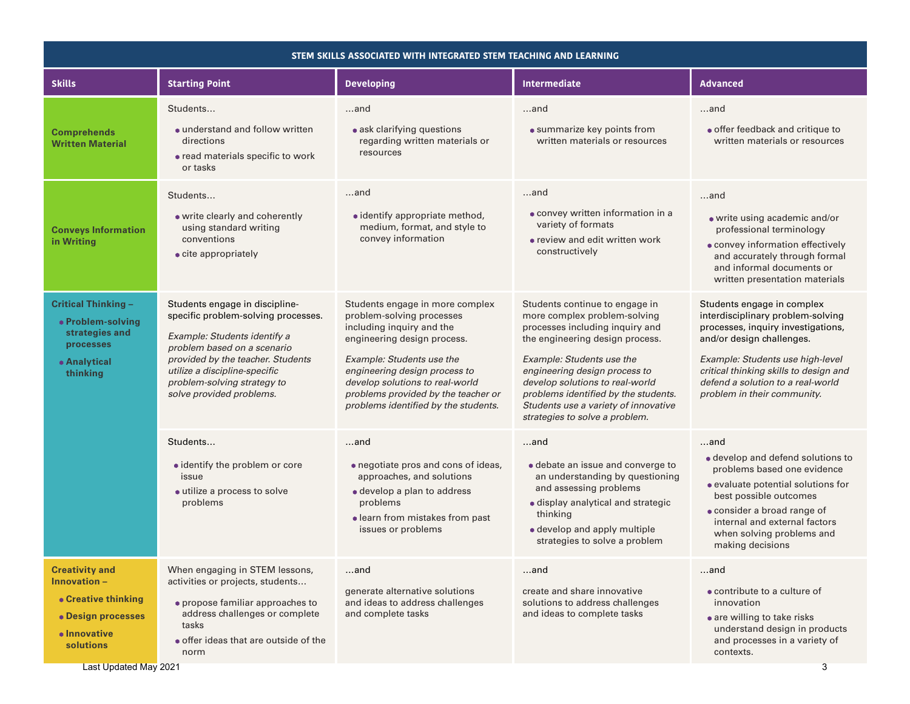| STEM SKILLS ASSOCIATED WITH INTEGRATED STEM TEACHING AND LEARNING                                                                           |                                                                                                                                                                                                                                                                       |                                                                                                                                                                                                                                                                                                          |                                                                                                                                                                                                                                                                                                                                                         |                                                                                                                                                                                                                                                                                      |
|---------------------------------------------------------------------------------------------------------------------------------------------|-----------------------------------------------------------------------------------------------------------------------------------------------------------------------------------------------------------------------------------------------------------------------|----------------------------------------------------------------------------------------------------------------------------------------------------------------------------------------------------------------------------------------------------------------------------------------------------------|---------------------------------------------------------------------------------------------------------------------------------------------------------------------------------------------------------------------------------------------------------------------------------------------------------------------------------------------------------|--------------------------------------------------------------------------------------------------------------------------------------------------------------------------------------------------------------------------------------------------------------------------------------|
| <b>Skills</b>                                                                                                                               | <b>Starting Point</b>                                                                                                                                                                                                                                                 | Intermediate<br><b>Developing</b>                                                                                                                                                                                                                                                                        |                                                                                                                                                                                                                                                                                                                                                         | <b>Advanced</b>                                                                                                                                                                                                                                                                      |
| <b>Comprehends</b><br><b>Written Material</b>                                                                                               | Students<br>• understand and follow written<br>directions<br>• read materials specific to work<br>or tasks                                                                                                                                                            | $$ and<br>• ask clarifying questions<br>regarding written materials or<br>resources                                                                                                                                                                                                                      | and<br>• summarize key points from<br>written materials or resources                                                                                                                                                                                                                                                                                    | and<br>· offer feedback and critique to<br>written materials or resources                                                                                                                                                                                                            |
| <b>Conveys Information</b><br>in Writing                                                                                                    | Students<br>• write clearly and coherently<br>using standard writing<br>conventions<br>• cite appropriately                                                                                                                                                           | and<br>· identify appropriate method,<br>medium, format, and style to<br>convey information                                                                                                                                                                                                              | and<br>· convey written information in a<br>variety of formats<br>• review and edit written work<br>constructively                                                                                                                                                                                                                                      | and<br>• write using academic and/or<br>professional terminology<br>• convey information effectively<br>and accurately through formal<br>and informal documents or<br>written presentation materials                                                                                 |
| <b>Critical Thinking -</b><br>· Problem-solving<br>strategies and<br>processes<br>• Analytical<br>thinking                                  | Students engage in discipline-<br>specific problem-solving processes.<br>Example: Students identify a<br>problem based on a scenario<br>provided by the teacher. Students<br>utilize a discipline-specific<br>problem-solving strategy to<br>solve provided problems. | Students engage in more complex<br>problem-solving processes<br>including inquiry and the<br>engineering design process.<br>Example: Students use the<br>engineering design process to<br>develop solutions to real-world<br>problems provided by the teacher or<br>problems identified by the students. | Students continue to engage in<br>more complex problem-solving<br>processes including inquiry and<br>the engineering design process.<br>Example: Students use the<br>engineering design process to<br>develop solutions to real-world<br>problems identified by the students.<br>Students use a variety of innovative<br>strategies to solve a problem. | Students engage in complex<br>interdisciplinary problem-solving<br>processes, inquiry investigations,<br>and/or design challenges.<br>Example: Students use high-level<br>critical thinking skills to design and<br>defend a solution to a real-world<br>problem in their community. |
|                                                                                                                                             | Students<br>· identify the problem or core<br>issue<br>· utilize a process to solve<br>problems                                                                                                                                                                       | and<br>• negotiate pros and cons of ideas,<br>approaches, and solutions<br>· develop a plan to address<br>problems<br>· learn from mistakes from past<br>issues or problems                                                                                                                              | and<br>• debate an issue and converge to<br>an understanding by questioning<br>and assessing problems<br>· display analytical and strategic<br>thinking<br>· develop and apply multiple<br>strategies to solve a problem                                                                                                                                | and<br>• develop and defend solutions to<br>problems based one evidence<br>• evaluate potential solutions for<br>best possible outcomes<br>• consider a broad range of<br>internal and external factors<br>when solving problems and<br>making decisions                             |
| <b>Creativity and</b><br>$In novation -$<br>• Creative thinking<br>• Design processes<br>• Innovative<br>solutions<br>Last Updated May 2021 | When engaging in STEM lessons,<br>activities or projects, students<br>• propose familiar approaches to<br>address challenges or complete<br>tasks<br>• offer ideas that are outside of the<br>norm                                                                    | and<br>generate alternative solutions<br>and ideas to address challenges<br>and complete tasks                                                                                                                                                                                                           | and<br>create and share innovative<br>solutions to address challenges<br>and ideas to complete tasks                                                                                                                                                                                                                                                    | and<br>• contribute to a culture of<br>innovation<br>• are willing to take risks<br>understand design in products<br>and processes in a variety of<br>contexts.<br>3                                                                                                                 |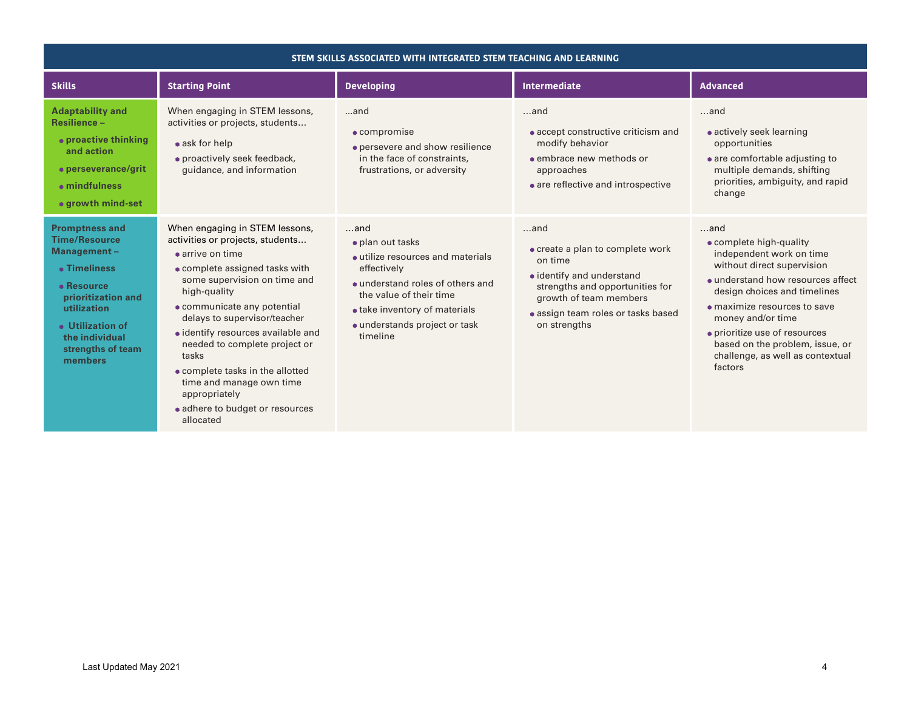| STEM SKILLS ASSOCIATED WITH INTEGRATED STEM TEACHING AND LEARNING                                                                                                                                            |                                                                                                                                                                                                                                                                                                                                                                                                                                                                  |                                                                                                                                                                                                                             |                                                                                                                                                                                                       |                                                                                                                                                                                                                                                                                                                                               |
|--------------------------------------------------------------------------------------------------------------------------------------------------------------------------------------------------------------|------------------------------------------------------------------------------------------------------------------------------------------------------------------------------------------------------------------------------------------------------------------------------------------------------------------------------------------------------------------------------------------------------------------------------------------------------------------|-----------------------------------------------------------------------------------------------------------------------------------------------------------------------------------------------------------------------------|-------------------------------------------------------------------------------------------------------------------------------------------------------------------------------------------------------|-----------------------------------------------------------------------------------------------------------------------------------------------------------------------------------------------------------------------------------------------------------------------------------------------------------------------------------------------|
| <b>Skills</b>                                                                                                                                                                                                | <b>Starting Point</b>                                                                                                                                                                                                                                                                                                                                                                                                                                            | <b>Developing</b><br><b>Intermediate</b>                                                                                                                                                                                    |                                                                                                                                                                                                       | <b>Advanced</b>                                                                                                                                                                                                                                                                                                                               |
| <b>Adaptability and</b><br><b>Resilience-</b><br>• proactive thinking<br>and action<br>• perseverance/grit<br>• mindfulness<br>• growth mind-set                                                             | When engaging in STEM lessons,<br>activities or projects, students<br>$\bullet$ ask for help<br>• proactively seek feedback,<br>quidance, and information                                                                                                                                                                                                                                                                                                        | and<br>$\bullet$ compromise<br>• persevere and show resilience<br>in the face of constraints,<br>frustrations, or adversity                                                                                                 | $$ and<br>• accept constructive criticism and<br>modify behavior<br>• embrace new methods or<br>approaches<br>• are reflective and introspective                                                      | $$ and<br>• actively seek learning<br>opportunities<br>• are comfortable adjusting to<br>multiple demands, shifting<br>priorities, ambiguity, and rapid<br>change                                                                                                                                                                             |
| <b>Promptness and</b><br><b>Time/Resource</b><br>Management-<br>• Timeliness<br>• Resource<br>prioritization and<br>utilization<br><b>• Utilization of</b><br>the individual<br>strengths of team<br>members | When engaging in STEM lessons,<br>activities or projects, students<br>$\bullet$ arrive on time<br>• complete assigned tasks with<br>some supervision on time and<br>high-quality<br>• communicate any potential<br>delays to supervisor/teacher<br>• identify resources available and<br>needed to complete project or<br>tasks<br>• complete tasks in the allotted<br>time and manage own time<br>appropriately<br>• adhere to budget or resources<br>allocated | $$ and<br>· plan out tasks<br>• utilize resources and materials<br>effectively<br>• understand roles of others and<br>the value of their time<br>• take inventory of materials<br>· understands project or task<br>timeline | $$ and<br>• create a plan to complete work<br>on time<br>• identify and understand<br>strengths and opportunities for<br>growth of team members<br>· assign team roles or tasks based<br>on strengths | and<br>• complete high-quality<br>independent work on time<br>without direct supervision<br>· understand how resources affect<br>design choices and timelines<br>$\bullet$ maximize resources to save<br>money and/or time<br>• prioritize use of resources<br>based on the problem, issue, or<br>challenge, as well as contextual<br>factors |